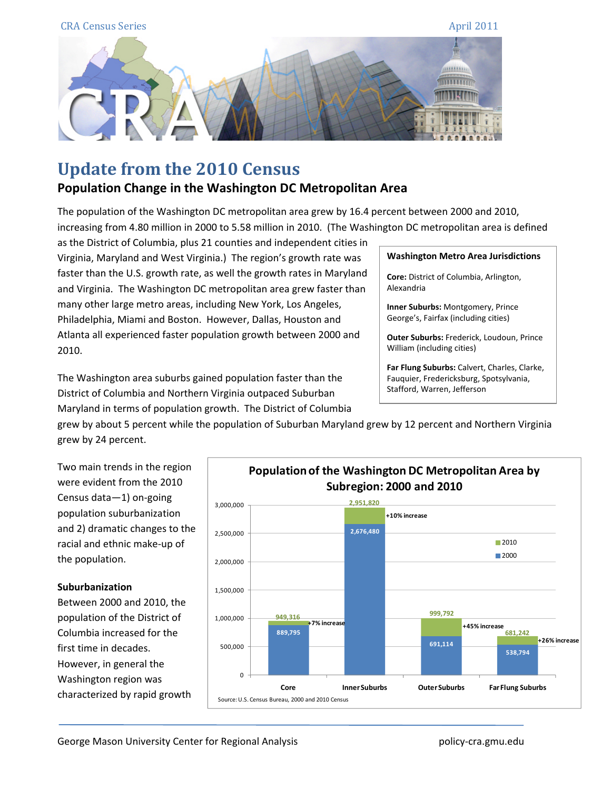

# **Update from the 2010 Census**

# **Population Change in the Washington DC Metropolitan Area**

The population of the Washington DC metropolitan area grew by 16.4 percent between 2000 and 2010, increasing from 4.80 million in 2000 to 5.58 million in 2010. (The Washington DC metropolitan area is defined

as the District of Columbia, plus 21 counties and independent cities in Virginia, Maryland and West Virginia.) The region's growth rate was faster than the U.S. growth rate, as well the growth rates in Maryland and Virginia. The Washington DC metropolitan area grew faster than many other large metro areas, including New York, Los Angeles, Philadelphia, Miami and Boston. However, Dallas, Houston and Atlanta all experienced faster population growth between 2000 and 2010.

The Washington area suburbs gained population faster than the District of Columbia and Northern Virginia outpaced Suburban Maryland in terms of population growth. The District of Columbia

#### **Washington Metro Area Jurisdictions**

**Core:** District of Columbia, Arlington, Alexandria

**Inner Suburbs:** Montgomery, Prince George's, Fairfax (including cities)

**Outer Suburbs:** Frederick, Loudoun, Prince William (including cities)

**Far Flung Suburbs:** Calvert, Charles, Clarke, Fauquier, Fredericksburg, Spotsylvania, Stafford, Warren, Jefferson

grew by about 5 percent while the population of Suburban Maryland grew by 12 percent and Northern Virginia grew by 24 percent.



### **Suburbanization**

Between 2000 and 2010, the population of the District of Columbia increased for the first time in decades. However, in general the Washington region was characterized by rapid growth

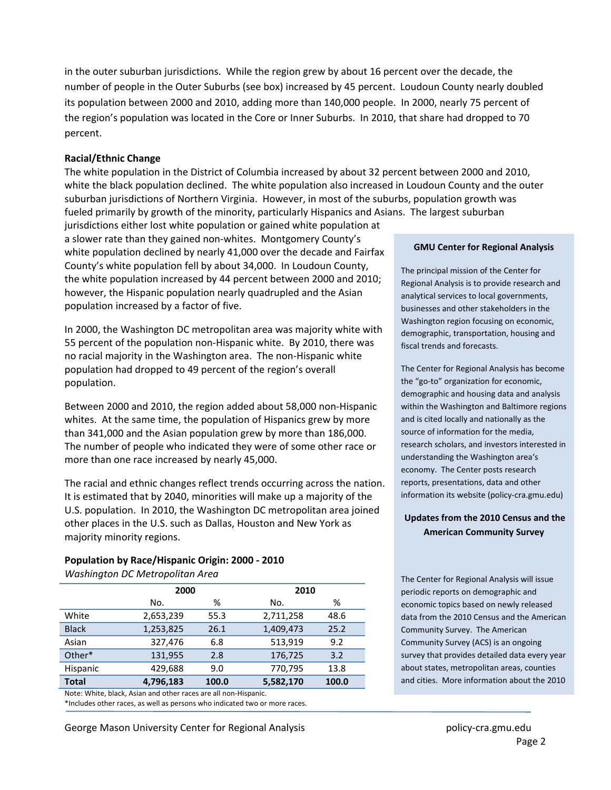in the outer suburban jurisdictions. While the region grew by about 16 percent over the decade, the number of people in the Outer Suburbs (see box) increased by 45 percent. Loudoun County nearly doubled its population between 2000 and 2010, adding more than 140,000 people. In 2000, nearly 75 percent of the region's population was located in the Core or Inner Suburbs. In 2010, that share had dropped to 70 percent.

#### **Racial/Ethnic Change**

The white population in the District of Columbia increased by about 32 percent between 2000 and 2010, white the black population declined. The white population also increased in Loudoun County and the outer suburban jurisdictions of Northern Virginia. However, in most of the suburbs, population growth was fueled primarily by growth of the minority, particularly Hispanics and Asians. The largest suburban

jurisdictions either lost white population or gained white population at a slower rate than they gained non‐whites. Montgomery County's white population declined by nearly 41,000 over the decade and Fairfax County's white population fell by about 34,000. In Loudoun County, the white population increased by 44 percent between 2000 and 2010; however, the Hispanic population nearly quadrupled and the Asian population increased by a factor of five.

In 2000, the Washington DC metropolitan area was majority white with 55 percent of the population non-Hispanic white. By 2010, there was no racial majority in the Washington area. The non-Hispanic white population had dropped to 49 percent of the region's overall population.

Between 2000 and 2010, the region added about 58,000 non‐Hispanic whites. At the same time, the population of Hispanics grew by more than 341,000 and the Asian population grew by more than 186,000. The number of people who indicated they were of some other race or more than one race increased by nearly 45,000.

The racial and ethnic changes reflect trends occurring across the nation. It is estimated that by 2040, minorities will make up a majority of the U.S. population. In 2010, the Washington DC metropolitan area joined other places in the U.S. such as Dallas, Houston and New York as majority minority regions.

## **Population by Race/Hispanic Origin: 2000 ‐ 2010**

*Washington DC Metropolitan Area*

|              |           | 2000  |           | 2010  |  |  |
|--------------|-----------|-------|-----------|-------|--|--|
|              | No.       | %     | No.       | %     |  |  |
| White        | 2,653,239 | 55.3  | 2,711,258 | 48.6  |  |  |
| <b>Black</b> | 1,253,825 | 26.1  | 1,409,473 | 25.2  |  |  |
| Asian        | 327,476   | 6.8   | 513,919   | 9.2   |  |  |
| Other*       | 131,955   | 2.8   | 176,725   | 3.2   |  |  |
| Hispanic     | 429,688   | 9.0   | 770,795   | 13.8  |  |  |
| <b>Total</b> | 4,796,183 | 100.0 | 5,582,170 | 100.0 |  |  |

Note: White, black, Asian and other races are all non‐Hispanic.

\*Includes other races, as well as persons who indicated two or more races.

George Mason University Center for Regional Analysis **policy** cra.gmu.edu

#### **GMU Center for Regional Analysis**

The principal mission of the Center for Regional Analysis is to provide research and analytical services to local governments, businesses and other stakeholders in the Washington region focusing on economic, demographic, transportation, housing and fiscal trends and forecasts.

The Center for Regional Analysis has become the "go‐to" organization for economic, demographic and housing data and analysis within the Washington and Baltimore regions and is cited locally and nationally as the source of information for the media, research scholars, and investors interested in understanding the Washington area's economy. The Center posts research reports, presentations, data and other information its website (policy‐cra.gmu.edu)

#### **Updates from the 2010 Census and the American Community Survey**

The Center for Regional Analysis will issue periodic reports on demographic and economic topics based on newly released data from the 2010 Census and the American Community Survey. The American Community Survey (ACS) is an ongoing survey that provides detailed data every year about states, metropolitan areas, counties and cities. More information about the 2010